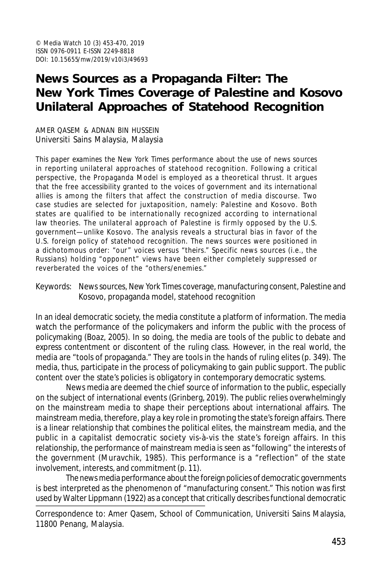# **News Sources as a Propaganda Filter: The** *New York Times* **Coverage of Palestine and Kosovo Unilateral Approaches of Statehood Recognition**

AMER QASEM & ADNAN BIN HUSSEIN Universiti Sains Malaysia, Malaysia

This paper examines the *New York Times* performance about the use of news sources in reporting unilateral approaches of statehood recognition. Following a critical perspective, the Propaganda Model is employed as a theoretical thrust. It argues that the free accessibility granted to the voices of government and its international allies is among the filters that affect the construction of media discourse. Two case studies are selected for juxtaposition, namely: Palestine and Kosovo. Both states are qualified to be internationally recognized according to international law theories. The unilateral approach of Palestine is firmly opposed by the U.S. government—unlike Kosovo. The analysis reveals a structural bias in favor of the U.S. foreign policy of statehood recognition. The news sources were positioned in a dichotomous order: "our" voices versus "theirs." Specific news sources (i.e., the Russians) holding "opponent" views have been either completely suppressed or reverberated the voices of the "others/enemies."

Keywords: News sources, *New York Times* coverage, manufacturing consent, Palestine and Kosovo, propaganda model, statehood recognition

In an ideal democratic society, the media constitute a platform of information. The media watch the performance of the policymakers and inform the public with the process of policymaking (Boaz, 2005). In so doing, the media are tools of the public to debate and express contentment or discontent of the ruling class. However, in the real world, the media are "tools of propaganda." They are tools in the hands of ruling elites (p. 349). The media, thus, participate in the process of policymaking to gain public support. The public content over the state's policies is obligatory in contemporary democratic systems.

News media are deemed the chief source of information to the public, especially on the subject of international events (Grinberg, 2019). The public relies overwhelmingly on the mainstream media to shape their perceptions about international affairs. The mainstream media, therefore, play a key role in promoting the state's foreign affairs. There is a linear relationship that combines the political elites, the mainstream media, and the public in a capitalist democratic society vis-à-vis the state's foreign affairs. In this relationship, the performance of mainstream media is seen as "following" the interests of the government (Muravchik, 1985). This performance is a "reflection" of the state involvement, interests, and commitment (p. 11).

The news media performance about the foreign policies of democratic governments is best interpreted as the phenomenon of "manufacturing consent." This notion was first used by Walter Lippmann (1922) as a concept that critically describes functional democratic

Correspondence to: Amer Qasem, School of Communication, Universiti Sains Malaysia, 11800 Penang, Malaysia.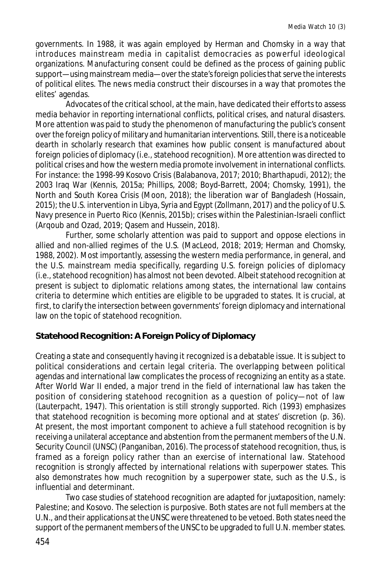governments. In 1988, it was again employed by Herman and Chomsky in a way that introduces mainstream media in capitalist democracies as powerful ideological organizations. Manufacturing consent could be defined as the process of gaining public support—using mainstream media—over the state's foreign policies that serve the interests of political elites. The news media construct their discourses in a way that promotes the elites' agendas.

Advocates of the critical school, at the main, have dedicated their efforts to assess media behavior in reporting international conflicts, political crises, and natural disasters. More attention was paid to study the phenomenon of manufacturing the public's consent over the foreign policy of military and humanitarian interventions. Still, there is a noticeable dearth in scholarly research that examines how public consent is manufactured about foreign policies of diplomacy (i.e., statehood recognition). More attention was directed to political crises and how the western media promote involvement in international conflicts. For instance: the 1998-99 Kosovo Crisis (Balabanova, 2017; 2010; Bharthapudi, 2012); the 2003 Iraq War (Kennis, 2015a; Phillips, 2008; Boyd-Barrett, 2004; Chomsky, 1991), the North and South Korea Crisis (Moon, 2018); the liberation war of Bangladesh (Hossain, 2015); the U.S. intervention in Libya, Syria and Egypt (Zollmann, 2017) and the policy of U.S. Navy presence in Puerto Rico (Kennis, 2015b); crises within the Palestinian-Israeli conflict (Arqoub and Ozad, 2019; Qasem and Hussein, 2018).

Further, some scholarly attention was paid to support and oppose elections in allied and non-allied regimes of the U.S. (MacLeod, 2018; 2019; Herman and Chomsky, 1988, 2002). Most importantly, assessing the western media performance, in general, and the U.S. mainstream media specifically, regarding U.S. foreign policies of diplomacy (i.e., statehood recognition) has almost not been devoted. Albeit statehood recognition at present is subject to diplomatic relations among states, the international law contains criteria to determine which entities are eligible to be upgraded to states. It is crucial, at first, to clarify the intersection between governments' foreign diplomacy and international law on the topic of statehood recognition.

### **Statehood Recognition: A Foreign Policy of Diplomacy**

Creating a state and consequently having it recognized is a debatable issue. It is subject to political considerations and certain legal criteria. The overlapping between political agendas and international law complicates the process of recognizing an entity as a state. After World War II ended, a major trend in the field of international law has taken the position of considering statehood recognition as a question of policy—not of law (Lauterpacht, 1947). This orientation is still strongly supported. Rich (1993) emphasizes that statehood recognition is becoming more optional and at states' discretion (p. 36). At present, the most important component to achieve a full statehood recognition is by receiving a unilateral acceptance and abstention from the permanent members of the U.N. Security Council (UNSC) (Panganiban, 2016). The process of statehood recognition, thus, is framed as a foreign policy rather than an exercise of international law. Statehood recognition is strongly affected by international relations with superpower states. This also demonstrates how much recognition by a superpower state, such as the U.S., is influential and determinant.

Two case studies of statehood recognition are adapted for juxtaposition, namely: Palestine; and Kosovo. The selection is purposive. Both states are not full members at the U.N., and their applications at the UNSC were threatened to be vetoed. Both states need the support of the permanent members of the UNSC to be upgraded to full U.N. member states.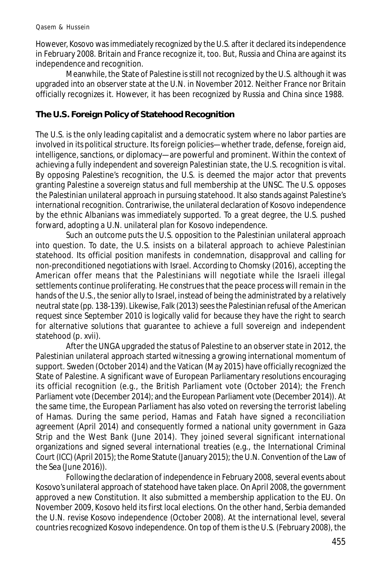However, Kosovo was immediately recognized by the U.S. after it declared its independence in February 2008. Britain and France recognize it, too. But, Russia and China are against its independence and recognition.

Meanwhile, the State of Palestine is still not recognized by the U.S. although it was upgraded into an observer state at the U.N. in November 2012. Neither France nor Britain officially recognizes it. However, it has been recognized by Russia and China since 1988.

### **The U.S. Foreign Policy of Statehood Recognition**

The U.S. is the only leading capitalist and a democratic system where no labor parties are involved in its political structure. Its foreign policies—whether trade, defense, foreign aid, intelligence, sanctions, or diplomacy—are powerful and prominent. Within the context of achieving a fully independent and sovereign Palestinian state, the U.S. recognition is vital. By opposing Palestine's recognition, the U.S. is deemed the major actor that prevents granting Palestine a sovereign status and full membership at the UNSC. The U.S. opposes the Palestinian unilateral approach in pursuing statehood. It also stands against Palestine's international recognition. Contrariwise, the unilateral declaration of Kosovo independence by the ethnic Albanians was immediately supported. To a great degree, the U.S. pushed forward, adopting a U.N. unilateral plan for Kosovo independence.

Such an outcome puts the U.S. opposition to the Palestinian unilateral approach into question. To date, the U.S. insists on a bilateral approach to achieve Palestinian statehood. Its official position manifests in condemnation, disapproval and calling for non-preconditioned negotiations with Israel. According to Chomsky (2016), accepting the American offer means that the Palestinians will negotiate while the Israeli illegal settlements continue proliferating. He construes that the peace process will remain in the hands of the U.S., the senior ally to Israel, instead of being the administrated by a relatively neutral state (pp. 138-139). Likewise, Falk (2013) sees the Palestinian refusal of the American request since September 2010 is logically valid for because they have the right to search for alternative solutions that guarantee to achieve a full sovereign and independent statehood (p. xvii).

After the UNGA upgraded the status of Palestine to an observer state in 2012, the Palestinian unilateral approach started witnessing a growing international momentum of support. Sweden (October 2014) and the Vatican (May 2015) have officially recognized the State of Palestine. A significant wave of European Parliamentary resolutions encouraging its official recognition (e.g., the British Parliament vote (October 2014); the French Parliament vote (December 2014); and the European Parliament vote (December 2014)). At the same time, the European Parliament has also voted on reversing the terrorist labeling of Hamas. During the same period, Hamas and Fatah have signed a reconciliation agreement (April 2014) and consequently formed a national unity government in Gaza Strip and the West Bank (June 2014). They joined several significant international organizations and signed several international treaties (e.g., the International Criminal Court (ICC) (April 2015); the Rome Statute (January 2015); the U.N. Convention of the Law of the Sea (June 2016)).

Following the declaration of independence in February 2008, several events about Kosovo's unilateral approach of statehood have taken place. On April 2008, the government approved a new Constitution. It also submitted a membership application to the EU. On November 2009, Kosovo held its first local elections. On the other hand, Serbia demanded the U.N. revise Kosovo independence (October 2008). At the international level, several countries recognized Kosovo independence. On top of them is the U.S. (February 2008), the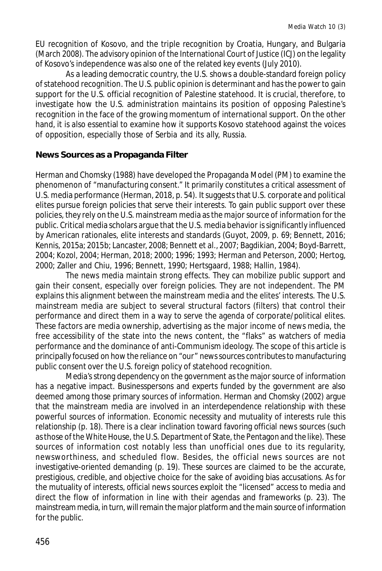EU recognition of Kosovo, and the triple recognition by Croatia, Hungary, and Bulgaria (March 2008). The advisory opinion of the International Court of Justice (ICJ) on the legality of Kosovo's independence was also one of the related key events (July 2010).

As a leading democratic country, the U.S. shows a double-standard foreign policy of statehood recognition. The U.S. public opinion is determinant and has the power to gain support for the U.S. official recognition of Palestine statehood. It is crucial, therefore, to investigate how the U.S. administration maintains its position of opposing Palestine's recognition in the face of the growing momentum of international support. On the other hand, it is also essential to examine how it supports Kosovo statehood against the voices of opposition, especially those of Serbia and its ally, Russia.

#### **News Sources as a Propaganda Filter**

Herman and Chomsky (1988) have developed the Propaganda Model (PM) to examine the phenomenon of "manufacturing consent." It primarily constitutes a critical assessment of U.S. media performance (Herman, 2018, p. 54). It suggests that U.S. corporate and political elites pursue foreign policies that serve their interests. To gain public support over these policies, they rely on the U.S. mainstream media as the major source of information for the public. Critical media scholars argue that the U.S. media behavior is significantly influenced by American rationales, elite interests and standards (Guyot, 2009, p. 69; Bennett, 2016; Kennis, 2015a; 2015b; Lancaster, 2008; Bennett et al., 2007; Bagdikian, 2004; Boyd-Barrett, 2004; Kozol, 2004; Herman, 2018; 2000; 1996; 1993; Herman and Peterson, 2000; Hertog, 2000; Zaller and Chiu, 1996; Bennett, 1990; Hertsgaard, 1988; Hallin, 1984).

The news media maintain strong effects. They can mobilize public support and gain their consent, especially over foreign policies. They are not independent. The PM explains this alignment between the mainstream media and the elites' interests. The U.S. mainstream media are subject to several structural factors (filters) that control their performance and direct them in a way to serve the agenda of corporate/political elites. These factors are media ownership, advertising as the major income of news media, the free accessibility of the state into the news content, the "flaks" as watchers of media performance and the dominance of anti-Communism ideology. The scope of this article is principally focused on how the reliance on "our" news sources contributes to manufacturing public consent over the U.S. foreign policy of statehood recognition.

Media's strong dependency on the government as the major source of information has a negative impact. Businesspersons and experts funded by the government are also deemed among those primary sources of information. Herman and Chomsky (2002) argue that the mainstream media are involved in an interdependence relationship with these powerful sources of information. Economic necessity and mutuality of interests rule this relationship (p. 18). There is a clear inclination toward favoring official news sources (such as those of the White House, the U.S. Department of State, the Pentagon and the like). These sources of information cost notably less than unofficial ones due to its regularity, newsworthiness, and scheduled flow. Besides, the official news sources are not investigative-oriented demanding (p. 19). These sources are claimed to be the accurate, prestigious, credible, and objective choice for the sake of avoiding bias accusations. As for the mutuality of interests, official news sources exploit the "licensed" access to media and direct the flow of information in line with their agendas and frameworks (p. 23). The mainstream media, in turn, will remain the major platform and the main source of information for the public.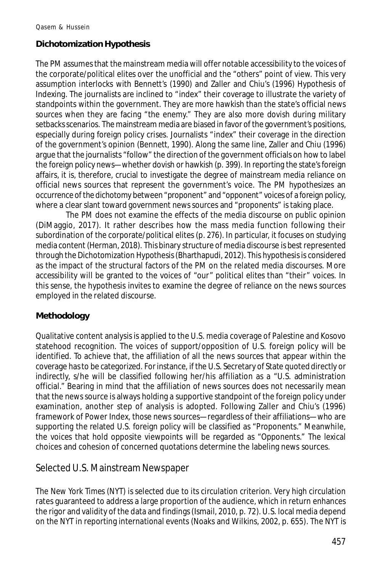### **Dichotomization Hypothesis**

The PM assumes that the mainstream media will offer notable accessibility to the voices of the corporate/political elites over the unofficial and the "others" point of view. This very assumption interlocks with Bennett's (1990) and Zaller and Chiu's (1996) Hypothesis of Indexing. The journalists are inclined to "index" their coverage to illustrate the variety of standpoints within the government. They are more hawkish than the state's official news sources when they are facing "the enemy." They are also more dovish during military setbacks scenarios. The mainstream media are biased in favor of the government's positions, especially during foreign policy crises. Journalists "index" their coverage in the direction of the government's opinion (Bennett, 1990). Along the same line, Zaller and Chiu (1996) argue that the journalists "follow" the direction of the government officials on how to label the foreign policy news—whether dovish or hawkish (p. 399). In reporting the state's foreign affairs, it is, therefore, crucial to investigate the degree of mainstream media reliance on official news sources that represent the government's voice. The PM hypothesizes an occurrence of the dichotomy between "proponent" and "opponent" voices of a foreign policy, where a clear slant toward government news sources and "proponents" is taking place.

The PM does not examine the effects of the media discourse on public opinion (DiMaggio, 2017). It rather describes how the mass media function following their subordination of the corporate/political elites (p. 276). In particular, it focuses on studying media content (Herman, 2018). This binary structure of media discourse is best represented through the Dichotomization Hypothesis (Bharthapudi, 2012). This hypothesis is considered as the impact of the structural factors of the PM on the related media discourses. More accessibility will be granted to the voices of "our" political elites than "their" voices. In this sense, the hypothesis invites to examine the degree of reliance on the news sources employed in the related discourse.

#### **Methodology**

Qualitative content analysis is applied to the U.S. media coverage of Palestine and Kosovo statehood recognition. The voices of support/opposition of U.S. foreign policy will be identified. To achieve that, the affiliation of all the news sources that appear within the coverage has to be categorized. For instance, if the U.S. Secretary of State quoted directly or indirectly, s/he will be classified following her/his affiliation as a "U.S. administration official." Bearing in mind that the affiliation of news sources does not necessarily mean that the news source is always holding a supportive standpoint of the foreign policy under examination, another step of analysis is adopted. Following Zaller and Chiu's (1996) framework of Power Index, those news sources—regardless of their affiliations—who are supporting the related U.S. foreign policy will be classified as "Proponents." Meanwhile, the voices that hold opposite viewpoints will be regarded as "Opponents." The lexical choices and cohesion of concerned quotations determine the labeling news sources.

### Selected U.S. Mainstream Newspaper

The *New York Times* (NYT) is selected due to its circulation criterion. Very high circulation rates guaranteed to address a large proportion of the audience, which in return enhances the rigor and validity of the data and findings (Ismail, 2010, p. 72). U.S. local media depend on the NYT in reporting international events (Noaks and Wilkins, 2002, p. 655). The NYT is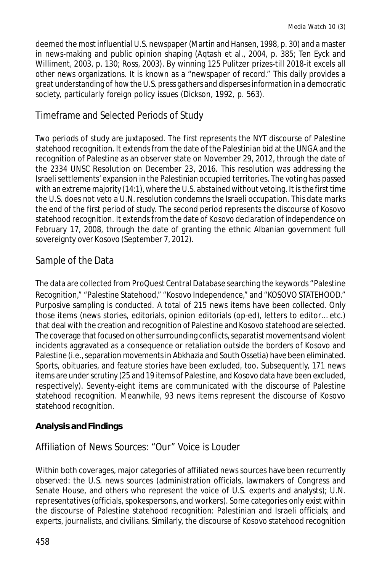deemed the most influential U.S. newspaper (Martin and Hansen, 1998, p. 30) and a master in news-making and public opinion shaping (Aqtash et al., 2004, p. 385; Ten Eyck and Williment, 2003, p. 130; Ross, 2003). By winning 125 Pulitzer prizes-till 2018-it excels all other news organizations. It is known as a "newspaper of record." This daily provides a great understanding of how the U.S. press gathers and disperses information in a democratic society, particularly foreign policy issues (Dickson, 1992, p. 563).

# Timeframe and Selected Periods of Study

Two periods of study are juxtaposed. The first represents the NYT discourse of Palestine statehood recognition. It extends from the date of the Palestinian bid at the UNGA and the recognition of Palestine as an observer state on November 29, 2012, through the date of the 2334 UNSC Resolution on December 23, 2016. This resolution was addressing the Israeli settlements' expansion in the Palestinian occupied territories. The voting has passed with an extreme majority (14:1), where the U.S. abstained without vetoing. It is the first time the U.S. does not veto a U.N. resolution condemns the Israeli occupation. This date marks the end of the first period of study. The second period represents the discourse of Kosovo statehood recognition. It extends from the date of Kosovo declaration of independence on February 17, 2008, through the date of granting the ethnic Albanian government full sovereignty over Kosovo (September 7, 2012).

# Sample of the Data

The data are collected from ProQuest Central Database searching the keywords "Palestine Recognition," "Palestine Statehood," "Kosovo Independence," and "KOSOVO STATEHOOD." Purposive sampling is conducted. A total of 215 news items have been collected. Only those items (news stories, editorials, opinion editorials (op-ed), letters to editor… etc.) that deal with the creation and recognition of Palestine and Kosovo statehood are selected. The coverage that focused on other surrounding conflicts, separatist movements and violent incidents aggravated as a consequence or retaliation outside the borders of Kosovo and Palestine (i.e., separation movements in Abkhazia and South Ossetia) have been eliminated. Sports, obituaries, and feature stories have been excluded, too. Subsequently, 171 news items are under scrutiny (25 and 19 items of Palestine, and Kosovo data have been excluded, respectively). Seventy-eight items are communicated with the discourse of Palestine statehood recognition. Meanwhile, 93 news items represent the discourse of Kosovo statehood recognition.

## **Analysis and Findings**

## Affiliation of News Sources: "Our" Voice is Louder

Within both coverages, major categories of affiliated news sources have been recurrently observed: the U.S. news sources (administration officials, lawmakers of Congress and Senate House, and others who represent the voice of U.S. experts and analysts); U.N. representatives (officials, spokespersons, and workers). Some categories only exist within the discourse of Palestine statehood recognition: Palestinian and Israeli officials; and experts, journalists, and civilians. Similarly, the discourse of Kosovo statehood recognition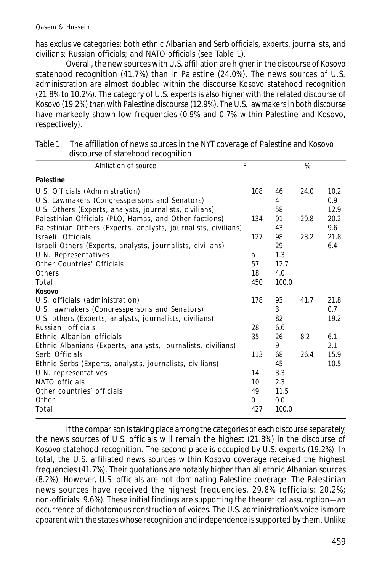has exclusive categories: both ethnic Albanian and Serb officials, experts, journalists, and civilians; Russian officials; and NATO officials (see Table 1).

Overall, the new sources with U.S. affiliation are higher in the discourse of Kosovo statehood recognition (41.7%) than in Palestine (24.0%). The news sources of U.S. administration are almost doubled within the discourse Kosovo statehood recognition (21.8% to 10.2%). The category of U.S. experts is also higher with the related discourse of Kosovo (19.2%) than with Palestine discourse (12.9%). The U.S. lawmakers in both discourse have markedly shown low frequencies (0.9% and 0.7% within Palestine and Kosovo, respectively).

| Table 1. The affiliation of news sources in the NYT coverage of Palestine and Kosovo<br>discourse of statehood recognition |   |
|----------------------------------------------------------------------------------------------------------------------------|---|
| Affiliation of source                                                                                                      | % |
|                                                                                                                            |   |

| F              |                                                                             | $\%$                 |      |
|----------------|-----------------------------------------------------------------------------|----------------------|------|
|                |                                                                             |                      |      |
| 108            | 46                                                                          | 24.0                 | 10.2 |
|                | 4                                                                           |                      | 0.9  |
|                | 58                                                                          |                      | 12.9 |
| 134            | 91                                                                          | 29.8                 | 20.2 |
|                | 43                                                                          |                      | 9.6  |
| 127            | 98                                                                          | 28.2                 | 21.8 |
|                | 29                                                                          |                      | 6.4  |
| a              | 1.3                                                                         |                      |      |
| 57             | 12.7                                                                        |                      |      |
| 18             | 4.0                                                                         |                      |      |
| 450            | 100.0                                                                       |                      |      |
|                |                                                                             |                      |      |
| 178            | 93                                                                          | 41.7                 | 21.8 |
|                | 3                                                                           |                      | 0.7  |
|                | 82                                                                          |                      | 19.2 |
| 28             | 6.6                                                                         |                      |      |
| 35             | 26                                                                          | 8.2                  | 6.1  |
|                | 9                                                                           |                      | 2.1  |
| 113            | 68                                                                          | 26.4                 | 15.9 |
|                | 45                                                                          |                      | 10.5 |
| 14             | 3.3                                                                         |                      |      |
| 10             |                                                                             |                      |      |
|                |                                                                             |                      |      |
| $\overline{0}$ | 0.0                                                                         |                      |      |
|                |                                                                             |                      |      |
|                | Palestinian Others (Experts, analysts, journalists, civilians)<br>49<br>427 | 2.3<br>11.5<br>100.0 |      |

If the comparison is taking place among the categories of each discourse separately, the news sources of U.S. officials will remain the highest (21.8%) in the discourse of Kosovo statehood recognition. The second place is occupied by U.S. experts (19.2%). In total, the U.S. affiliated news sources within Kosovo coverage received the highest frequencies (41.7%). Their quotations are notably higher than all ethnic Albanian sources (8.2%). However, U.S. officials are not dominating Palestine coverage. The Palestinian news sources have received the highest frequencies, 29.8% (officials: 20.2%; non-officials: 9.6%). These initial findings are supporting the theoretical assumption—an occurrence of dichotomous construction of voices. The U.S. administration's voice is more apparent with the states whose recognition and independence is supported by them. Unlike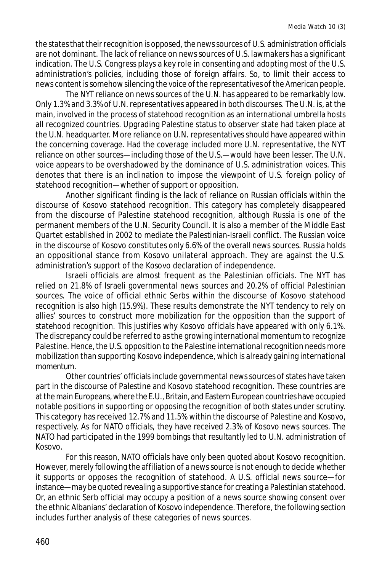the states that their recognition is opposed, the news sources of U.S. administration officials are not dominant. The lack of reliance on news sources of U.S. lawmakers has a significant indication. The U.S. Congress plays a key role in consenting and adopting most of the U.S. administration's policies, including those of foreign affairs. So, to limit their access to news content is somehow silencing the voice of the representatives of the American people.

The NYT reliance on news sources of the U.N. has appeared to be remarkably low. Only 1.3% and 3.3% of U.N. representatives appeared in both discourses. The U.N. is, at the main, involved in the process of statehood recognition as an international umbrella hosts all recognized countries. Upgrading Palestine status to observer state had taken place at the U.N. headquarter. More reliance on U.N. representatives should have appeared within the concerning coverage. Had the coverage included more U.N. representative, the NYT reliance on other sources—including those of the U.S.—would have been lesser. The U.N. voice appears to be overshadowed by the dominance of U.S. administration voices. This denotes that there is an inclination to impose the viewpoint of U.S. foreign policy of statehood recognition—whether of support or opposition.

Another significant finding is the lack of reliance on Russian officials within the discourse of Kosovo statehood recognition. This category has completely disappeared from the discourse of Palestine statehood recognition, although Russia is one of the permanent members of the U.N. Security Council. It is also a member of the Middle East Quartet established in 2002 to mediate the Palestinian-Israeli conflict. The Russian voice in the discourse of Kosovo constitutes only 6.6% of the overall news sources. Russia holds an oppositional stance from Kosovo unilateral approach. They are against the U.S. administration's support of the Kosovo declaration of independence.

Israeli officials are almost frequent as the Palestinian officials. The NYT has relied on 21.8% of Israeli governmental news sources and 20.2% of official Palestinian sources. The voice of official ethnic Serbs within the discourse of Kosovo statehood recognition is also high (15.9%). These results demonstrate the NYT tendency to rely on allies' sources to construct more mobilization for the opposition than the support of statehood recognition. This justifies why Kosovo officials have appeared with only 6.1%. The discrepancy could be referred to as the growing international momentum to recognize Palestine. Hence, the U.S. opposition to the Palestine international recognition needs more mobilization than supporting Kosovo independence, which is already gaining international momentum.

Other countries' officials include governmental news sources of states have taken part in the discourse of Palestine and Kosovo statehood recognition. These countries are at the main Europeans, where the E.U., Britain, and Eastern European countries have occupied notable positions in supporting or opposing the recognition of both states under scrutiny. This category has received 12.7% and 11.5% within the discourse of Palestine and Kosovo, respectively. As for NATO officials, they have received 2.3% of Kosovo news sources. The NATO had participated in the 1999 bombings that resultantly led to U.N. administration of Kosovo.

For this reason, NATO officials have only been quoted about Kosovo recognition. However, merely following the affiliation of a news source is not enough to decide whether it supports or opposes the recognition of statehood. A U.S. official news source—for instance—may be quoted revealing a supportive stance for creating a Palestinian statehood. Or, an ethnic Serb official may occupy a position of a news source showing consent over the ethnic Albanians' declaration of Kosovo independence. Therefore, the following section includes further analysis of these categories of news sources.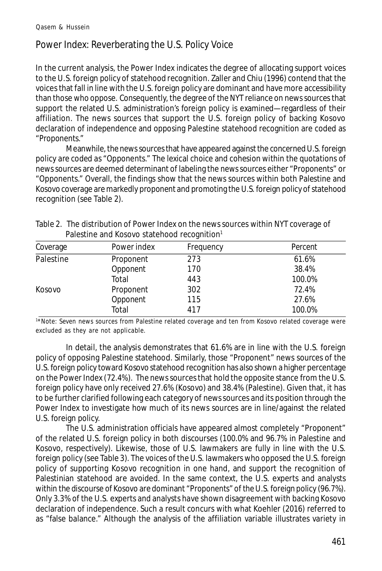# Power Index: Reverberating the U.S. Policy Voice

In the current analysis, the Power Index indicates the degree of allocating support voices to the U.S. foreign policy of statehood recognition. Zaller and Chiu (1996) contend that the voices that fall in line with the U.S. foreign policy are dominant and have more accessibility than those who oppose. Consequently, the degree of the NYT reliance on news sources that support the related U.S. administration's foreign policy is examined—regardless of their affiliation. The news sources that support the U.S. foreign policy of backing Kosovo declaration of independence and opposing Palestine statehood recognition are coded as "Proponents."

Meanwhile, the news sources that have appeared against the concerned U.S. foreign policy are coded as "Opponents." The lexical choice and cohesion within the quotations of news sources are deemed determinant of labeling the news sources either "Proponents" or "Opponents." Overall, the findings show that the news sources within both Palestine and Kosovo coverage are markedly proponent and promoting the U.S. foreign policy of statehood recognition (see Table 2).

| Coverage  | Power index | Frequency | Percent |
|-----------|-------------|-----------|---------|
| Palestine | Proponent   | 273       | 61.6%   |
|           | Opponent    | 170       | 38.4%   |
|           | Total       | 443       | 100.0%  |
| Kosovo    | Proponent   | 302       | 72.4%   |
|           | Opponent    | 115       | 27.6%   |
|           | Total       | 417       | 100.0%  |

Table 2. The distribution of Power Index on the news sources within NYT coverage of Palestine and Kosovo statehood recognition<sup>1</sup>

<sup>1</sup>\*Note: Seven news sources from Palestine related coverage and ten from Kosovo related coverage were excluded as they are not applicable.

In detail, the analysis demonstrates that 61.6% are in line with the U.S. foreign policy of opposing Palestine statehood. Similarly, those "Proponent" news sources of the U.S. foreign policy toward Kosovo statehood recognition has also shown a higher percentage on the Power Index (72.4%). The news sources that hold the opposite stance from the U.S. foreign policy have only received 27.6% (Kosovo) and 38.4% (Palestine). Given that, it has to be further clarified following each category of news sources and its position through the Power Index to investigate how much of its news sources are in line/against the related U.S. foreign policy.

The U.S. administration officials have appeared almost completely "Proponent" of the related U.S. foreign policy in both discourses (100.0% and 96.7% in Palestine and Kosovo, respectively). Likewise, those of U.S. lawmakers are fully in line with the U.S. foreign policy (see Table 3). The voices of the U.S. lawmakers who opposed the U.S. foreign policy of supporting Kosovo recognition in one hand, and support the recognition of Palestinian statehood are avoided. In the same context, the U.S. experts and analysts within the discourse of Kosovo are dominant "Proponents" of the U.S. foreign policy (96.7%). Only 3.3% of the U.S. experts and analysts have shown disagreement with backing Kosovo declaration of independence. Such a result concurs with what Koehler (2016) referred to as "false balance." Although the analysis of the affiliation variable illustrates variety in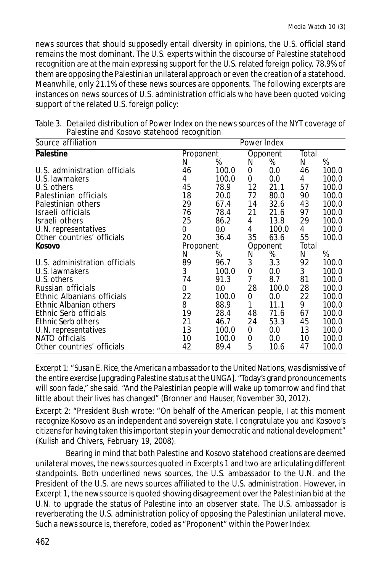news sources that should supposedly entail diversity in opinions, the U.S. official stand remains the most dominant. The U.S. experts within the discourse of Palestine statehood recognition are at the main expressing support for the U.S. related foreign policy. 78.9% of them are opposing the Palestinian unilateral approach or even the creation of a statehood. Meanwhile, only 21.1% of these news sources are opponents. The following excerpts are instances on news sources of U.S. administration officials who have been quoted voicing support of the related U.S. foreign policy:

|                               | ັ              |         |                |       |       |       |
|-------------------------------|----------------|---------|----------------|-------|-------|-------|
| Source affiliation            | Power Index    |         |                |       |       |       |
| <b>Palestine</b>              | Proponent      |         | Opponent       |       | Total |       |
|                               | N              | %       | N              | %     | N     | %     |
| U.S. administration officials | 46             | 100.0   | 0              | 0.0   | 46    | 100.0 |
| U.S. lawmakers                | 4              | 100.0   | 0              | 0.0   | 4     | 100.0 |
| U.S. others                   | 45             | 78.9    | 12             | 21.1  | 57    | 100.0 |
| Palestinian officials         | 18             | 20.0    | 72             | 80.0  | 90    | 100.0 |
| Palestinian others            | 29             | 67.4    | 14             | 32.6  | 43    | 100.0 |
| Israeli officials             | 76             | 78.4    | 21             | 21.6  | 97    | 100.0 |
| Israeli others                | 25             | 86.2    | 4              | 13.8  | 29    | 100.0 |
| U.N. representatives          | $\overline{0}$ | $0.0\,$ | 4              | 100.0 | 4     | 100.0 |
| Other countries' officials    | 20             | 36.4    | 35             | 63.6  | 55    | 100.0 |
| <b>Kosovo</b>                 | Proponent      |         | Opponent       |       | Total |       |
|                               | N              | %       | N              | %     | N     | %     |
| U.S. administration officials | 89             | 96.7    | 3              | 3.3   | 92    | 100.0 |
| U.S. lawmakers                | 3              | 100.0   | 0              | 0.0   | 3     | 100.0 |
| U.S. others                   | 74             | 91.3    | $\overline{7}$ | 8.7   | 81    | 100.0 |
| Russian officials             | $\theta$       | $0.0\,$ | 28             | 100.0 | 28    | 100.0 |
| Ethnic Albanians officials    | 22             | 100.0   | 0              | 0.0   | 22    | 100.0 |
| Ethnic Albanian others        | 8              | 88.9    | 1              | 11.1  | 9     | 100.0 |
| Ethnic Serb officials         | 19             | 28.4    | 48             | 71.6  | 67    | 100.0 |
| Ethnic Serb others            | 21             | 46.7    | 24             | 53.3  | 45    | 100.0 |
| U.N. representatives          | 13             | 100.0   | 0              | 0.0   | 13    | 100.0 |
| NATO officials                | 10             | 100.0   | 0              | 0.0   | 10    | 100.0 |
| Other countries' officials    | 42             | 89.4    | 5              | 10.6  | 47    | 100.0 |

Table 3. Detailed distribution of Power Index on the news sources of the NYT coverage of Palestine and Kosovo statehood recognition

Excerpt 1: *"Susan E. Rice, the American ambassador to the United Nations,* was dismissive of the entire exercise [upgrading Palestine status at the UNGA]. "Today's grand pronouncements will soon fade," she said. "And the Palestinian people will wake up tomorrow and find that little about their lives has changed" (Bronner and Hauser, November 30, 2012).

Excerpt 2: *"President Bush* wrote: "On behalf of the American people, I at this moment recognize Kosovo as an independent and sovereign state. I congratulate you and Kosovo's citizens for having taken this important step in your democratic and national development" (Kulish and Chivers, February 19, 2008).

Bearing in mind that both Palestine and Kosovo statehood creations are deemed unilateral moves, the news sources quoted in Excerpts 1 and two are articulating different standpoints. Both underlined news sources, the U.S. ambassador to the U.N. and the President of the U.S. are news sources affiliated to the U.S. administration. However, in Excerpt 1, the news source is quoted showing disagreement over the Palestinian bid at the U.N. to upgrade the status of Palestine into an observer state. The U.S. ambassador is reverberating the U.S. administration policy of opposing the Palestinian unilateral move. Such a news source is, therefore, coded as "Proponent" within the Power Index.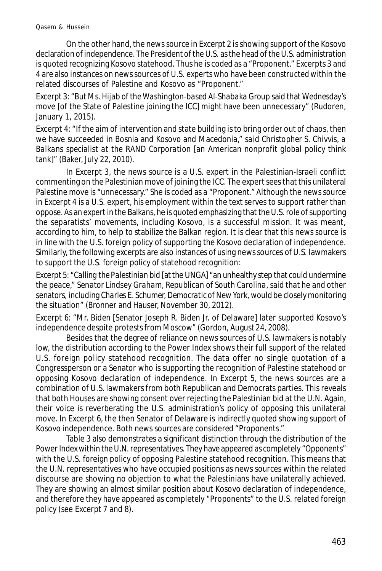On the other hand, the news source in Excerpt 2 is showing support of the Kosovo declaration of independence. The President of the U.S. as the head of the U.S. administration is quoted recognizing Kosovo statehood. Thus he is coded as a "Proponent." Excerpts 3 and 4 are also instances on news sources of U.S. experts who have been constructed within the related discourses of Palestine and Kosovo as "Proponent."

Excerpt 3: *"*But *Ms. Hijab of the Washington-based Al-Shabaka Group* said that Wednesday's move [of the State of Palestine joining the ICC] might have been unnecessary" (Rudoren, January 1, 2015).

Excerpt 4: "If the aim of intervention and state building is to bring order out of chaos, then we have succeeded in Bosnia and Kosovo and Macedonia," *said Christopher S. Chivvis, a Balkans specialist at the RAND Corporation* [an American nonprofit global policy think tank]*"* (Baker, July 22, 2010).

In Excerpt 3, the news source is a U.S. expert in the Palestinian-Israeli conflict commenting on the Palestinian move of joining the ICC. The expert sees that this unilateral Palestine move is "unnecessary." She is coded as a "Proponent." Although the news source in Excerpt 4 is a U.S. expert, his employment within the text serves to support rather than oppose. As an expert in the Balkans, he is quoted emphasizing that the U.S. role of supporting the separatists' movements, including Kosovo, is a successful mission. It was meant, according to him, to help to stabilize the Balkan region. It is clear that this news source is in line with the U.S. foreign policy of supporting the Kosovo declaration of independence. Similarly, the following excerpts are also instances of using news sources of U.S. lawmakers to support the U.S. foreign policy of statehood recognition:

Excerpt 5: *"Calling the Palestinian bid* [at the UNGA] "an unhealthy step that could undermine the peace," *Senator Lindsey Graham, Republican of South Carolina,* said that he and other senators, including *Charles E. Schumer, Democratic of New York,* would be closely monitoring the situation" (Bronner and Hauser, November 30, 2012).

Excerpt 6: *"Mr. Biden* [Senator Joseph R. Biden Jr. of Delaware] later supported Kosovo's independence despite protests from Moscow" (Gordon, August 24, 2008).

Besides that the degree of reliance on news sources of U.S. lawmakers is notably low, the distribution according to the Power Index shows their full support of the related U.S. foreign policy statehood recognition. The data offer no single quotation of a Congressperson or a Senator who is supporting the recognition of Palestine statehood or opposing Kosovo declaration of independence. In Excerpt 5, the news sources are a combination of U.S. lawmakers from both Republican and Democrats parties. This reveals that both Houses are showing consent over rejecting the Palestinian bid at the U.N. Again, their voice is reverberating the U.S. administration's policy of opposing this unilateral move. In Excerpt 6, the then Senator of Delaware is indirectly quoted showing support of Kosovo independence. Both news sources are considered "Proponents."

Table 3 also demonstrates a significant distinction through the distribution of the Power Index within the U.N. representatives. They have appeared as completely "Opponents" with the U.S. foreign policy of opposing Palestine statehood recognition. This means that the U.N. representatives who have occupied positions as news sources within the related discourse are showing no objection to what the Palestinians have unilaterally achieved. They are showing an almost similar position about Kosovo declaration of independence, and therefore they have appeared as completely "Proponents" to the U.S. related foreign policy (see Excerpt 7 and 8).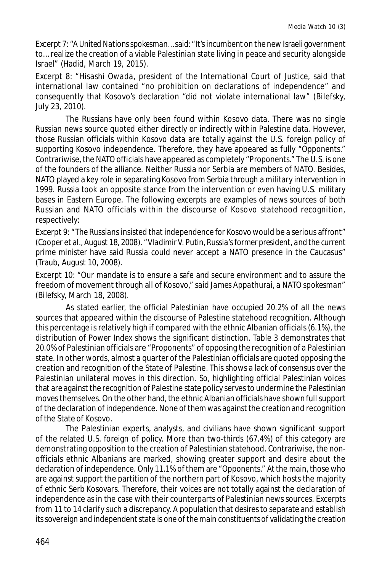Excerpt 7: *"A United Nations spokesman…* said: "It's incumbent on the new Israeli government to… realize the creation of a viable Palestinian state living in peace and security alongside Israel" (Hadid, March 19, 2015).

Excerpt 8: *"Hisashi Owada, president of the International Court of Justice,* said that international law contained "no prohibition on declarations of independence" and consequently that Kosovo's declaration "did not violate international law" (Bilefsky, July 23, 2010).

The Russians have only been found within Kosovo data. There was no single Russian news source quoted either directly or indirectly within Palestine data. However, those Russian officials within Kosovo data are totally against the U.S. foreign policy of supporting Kosovo independence. Therefore, they have appeared as fully "Opponents." Contrariwise, the NATO officials have appeared as completely "Proponents." The U.S. is one of the founders of the alliance. Neither Russia nor Serbia are members of NATO. Besides, NATO played a key role in separating Kosovo from Serbia through a military intervention in 1999. Russia took an opposite stance from the intervention or even having U.S. military bases in Eastern Europe. The following excerpts are examples of news sources of both Russian and NATO officials within the discourse of Kosovo statehood recognition, respectively:

Excerpt 9: *"The Russians* insisted that independence for Kosovo would be a serious affront" (Cooper et al., August 18, 2008). *"Vladimir V. Putin, Russia's former president, and the current prime minister* have said Russia could never accept a NATO presence in the Caucasus" (Traub, August 10, 2008).

Excerpt 10: "Our mandate is to ensure a safe and secure environment and to assure the freedom of movement through all of Kosovo," said *James Appathurai, a NATO spokesman"* (Bilefsky, March 18, 2008).

As stated earlier, the official Palestinian have occupied 20.2% of all the news sources that appeared within the discourse of Palestine statehood recognition. Although this percentage is relatively high if compared with the ethnic Albanian officials (6.1%), the distribution of Power Index shows the significant distinction. Table 3 demonstrates that 20.0% of Palestinian officials are "Proponents" of opposing the recognition of a Palestinian state. In other words, almost a quarter of the Palestinian officials are quoted opposing the creation and recognition of the State of Palestine. This shows a lack of consensus over the Palestinian unilateral moves in this direction. So, highlighting official Palestinian voices that are against the recognition of Palestine state policy serves to undermine the Palestinian moves themselves. On the other hand, the ethnic Albanian officials have shown full support of the declaration of independence. None of them was against the creation and recognition of the State of Kosovo.

The Palestinian experts, analysts, and civilians have shown significant support of the related U.S. foreign of policy. More than two-thirds (67.4%) of this category are demonstrating opposition to the creation of Palestinian statehood. Contrariwise, the nonofficials ethnic Albanians are marked, showing greater support and desire about the declaration of independence. Only 11.1% of them are "Opponents." At the main, those who are against support the partition of the northern part of Kosovo, which hosts the majority of ethnic Serb Kosovars. Therefore, their voices are not totally against the declaration of independence as in the case with their counterparts of Palestinian news sources. Excerpts from 11 to 14 clarify such a discrepancy. A population that desires to separate and establish its sovereign and independent state is one of the main constituents of validating the creation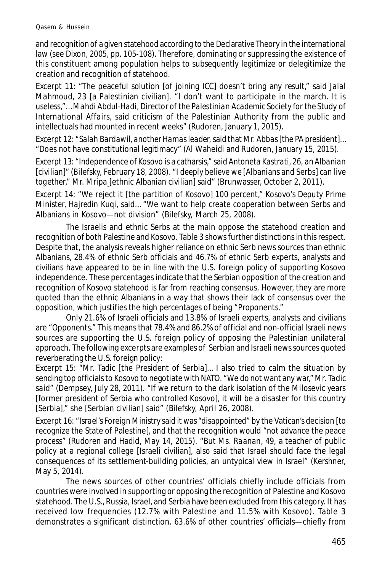and recognition of a given statehood according to the Declarative Theory in the international law (see Dixon, 2005, pp. 105-108). Therefore, dominating or suppressing the existence of this constituent among population helps to subsequently legitimize or delegitimize the creation and recognition of statehood.

Excerpt 11: "The peaceful solution [of joining ICC] doesn't bring any result," said *Jalal Mahmoud, 23* [a Palestinian civilian]*.* "I don't want to participate in the march. It is useless,"… *Mahdi Abdul-Hadi, Director of the Palestinian Academic Society for the Study of International Affairs,* said criticism of the Palestinian Authority from the public and intellectuals had mounted in recent weeks" (Rudoren, January 1, 2015).

Excerpt 12: *"Salah Bardawil, another Hamas leader,* said that *Mr. Abbas* [the PA president]*…* "Does not have constitutional legitimacy" (Al Waheidi and Rudoren, January 15, 2015).

Excerpt 13: "Independence of Kosovo is a catharsis," said *Antoneta Kastrati, 26, an Albanian* [civilian]*"* (Bilefsky, February 18, 2008). *"I deeply believe we* [Albanians and Serbs] *can live together," Mr. Mripa* [ethnic Albanian civilian] said" (Brunwasser, October 2, 2011).

Excerpt 14: "We reject it [the partition of Kosovo] 100 percent," *Kosovo's Deputy Prime Minister, Hajredin Kuqi,* said… "We want to help create cooperation between Serbs and Albanians in Kosovo—not division" (Bilefsky, March 25, 2008).

The Israelis and ethnic Serbs at the main oppose the statehood creation and recognition of both Palestine and Kosovo. Table 3 shows further distinctions in this respect. Despite that, the analysis reveals higher reliance on ethnic Serb news sources than ethnic Albanians, 28.4% of ethnic Serb officials and 46.7% of ethnic Serb experts, analysts and civilians have appeared to be in line with the U.S. foreign policy of supporting Kosovo independence. These percentages indicate that the Serbian opposition of the creation and recognition of Kosovo statehood is far from reaching consensus. However, they are more quoted than the ethnic Albanians in a way that shows their lack of consensus over the opposition, which justifies the high percentages of being "Proponents."

Only 21.6% of Israeli officials and 13.8% of Israeli experts, analysts and civilians are "Opponents." This means that 78.4% and 86.2% of official and non-official Israeli news sources are supporting the U.S. foreign policy of opposing the Palestinian unilateral approach. The following excerpts are examples of Serbian and Israeli news sources quoted reverberating the U.S. foreign policy:

Excerpt 15: "Mr. Tadic [the President of Serbia]… I also tried to calm the situation by sending top officials to Kosovo to negotiate with NATO. "We do not want any war," *Mr. Tadic said"* (Dempsey, July 28, 2011). "If we return to the dark isolation of the Milosevic years [former president of Serbia who controlled Kosovo]*,* it will be a disaster for this country [Serbia]," she [Serbian civilian] said" (Bilefsky, April 26, 2008).

Excerpt 16: *"Israel's Foreign Ministry* said it was "disappointed" by the Vatican's decision [to recognize the State of Palestine], and that the recognition would "not advance the peace process" (Rudoren and Hadid, May 14, 2015). "But *Ms. Raanan,* 49, a teacher of public policy at a regional college [Israeli civilian], also said that Israel should face the legal consequences of its settlement-building policies, an untypical view in Israel" (Kershner, May 5, 2014).

The news sources of other countries' officials chiefly include officials from countries were involved in supporting or opposing the recognition of Palestine and Kosovo statehood. The U.S., Russia, Israel, and Serbia have been excluded from this category. It has received low frequencies (12.7% with Palestine and 11.5% with Kosovo). Table 3 demonstrates a significant distinction. 63.6% of other countries' officials—chiefly from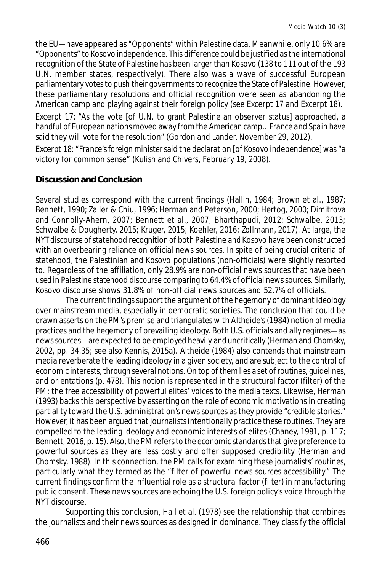the EU—have appeared as "Opponents" within Palestine data. Meanwhile, only 10.6% are "Opponents" to Kosovo independence. This difference could be justified as the international recognition of the State of Palestine has been larger than Kosovo (138 to 111 out of the 193 U.N. member states, respectively). There also was a wave of successful European parliamentary votes to push their governments to recognize the State of Palestine. However, these parliamentary resolutions and official recognition were seen as abandoning the American camp and playing against their foreign policy (see Excerpt 17 and Excerpt 18).

Excerpt 17: "As the vote [of U.N. to grant Palestine an observer status] approached, a handful of European nations moved away from the American camp… *France and Spain* have said they will vote for the resolution" (Gordon and Lander, November 29, 2012).

Excerpt 18: *"France's foreign minister* said the declaration [of Kosovo independence] was "a victory for common sense" (Kulish and Chivers, February 19, 2008).

### **Discussion and Conclusion**

Several studies correspond with the current findings (Hallin, 1984; Brown et al., 1987; Bennett, 1990; Zaller & Chiu, 1996; Herman and Peterson, 2000; Hertog, 2000; Dimitrova and Connolly-Ahern, 2007; Bennett et al., 2007; Bharthapudi, 2012; Schwalbe, 2013; Schwalbe & Dougherty, 2015; Kruger, 2015; Koehler, 2016; Zollmann, 2017). At large, the NYT discourse of statehood recognition of both Palestine and Kosovo have been constructed with an overbearing reliance on official news sources. In spite of being crucial criteria of statehood, the Palestinian and Kosovo populations (non-officials) were slightly resorted to. Regardless of the affiliation, only 28.9% are non-official news sources that have been used in Palestine statehood discourse comparing to 64.4% of official news sources. Similarly, Kosovo discourse shows 31.8% of non-official news sources and 52.7% of officials.

The current findings support the argument of the hegemony of dominant ideology over mainstream media, especially in democratic societies. The conclusion that could be drawn asserts on the PM's premise and triangulates with Altheide's (1984) notion of media practices and the hegemony of prevailing ideology. Both U.S. officials and ally regimes—as news sources—are expected to be employed heavily and uncritically (Herman and Chomsky, 2002, pp. 34.35; see also Kennis, 2015a). Altheide (1984) also contends that mainstream media reverberate the leading ideology in a given society, and are subject to the control of economic interests, through several notions. On top of them lies a set of routines, guidelines, and orientations (p. 478). This notion is represented in the structural factor (filter) of the PM: the free accessibility of powerful elites' voices to the media texts. Likewise, Herman (1993) backs this perspective by asserting on the role of economic motivations in creating partiality toward the U.S. administration's news sources as they provide "credible stories." However, it has been argued that journalists intentionally practice these routines. They are compelled to the leading ideology and economic interests of elites (Chaney, 1981, p. 117; Bennett, 2016, p. 15). Also, the PM refers to the economic standards that give preference to powerful sources as they are less costly and offer supposed credibility (Herman and Chomsky, 1988). In this connection, the PM calls for examining these journalists' routines, particularly what they termed as the "filter of powerful news sources accessibility." The current findings confirm the influential role as a structural factor (filter) in manufacturing public consent. These news sources are echoing the U.S. foreign policy's voice through the NYT discourse.

Supporting this conclusion, Hall et al. (1978) see the relationship that combines the journalists and their news sources as designed in dominance. They classify the official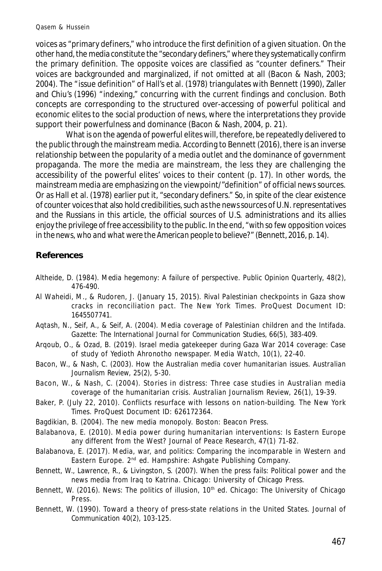voices as "primary definers," who introduce the first definition of a given situation. On the other hand, the media constitute the "secondary definers," where they systematically confirm the primary definition. The opposite voices are classified as "counter definers." Their voices are backgrounded and marginalized, if not omitted at all (Bacon & Nash, 2003; 2004). The "issue definition" of Hall's et al. (1978) triangulates with Bennett (1990), Zaller and Chiu's (1996) "indexing," concurring with the current findings and conclusion. Both concepts are corresponding to the structured over-accessing of powerful political and economic elites to the social production of news, where the interpretations they provide support their powerfulness and dominance (Bacon & Nash, 2004, p. 21).

What is on the agenda of powerful elites will, therefore, be repeatedly delivered to the public through the mainstream media. According to Bennett (2016), there is an inverse relationship between the popularity of a media outlet and the dominance of government propaganda. The more the media are mainstream, the less they are challenging the accessibility of the powerful elites' voices to their content (p. 17). In other words, the mainstream media are emphasizing on the viewpoint/"definition" of official news sources. Or as Hall et al. (1978) earlier put it, "secondary definers." So, in spite of the clear existence of counter voices that also hold credibilities, such as the news sources of U.N. representatives and the Russians in this article, the official sources of U.S. administrations and its allies enjoy the privilege of free accessibility to the public. In the end, *"with so few opposition voices in the news, who and what were the American people to believe?"* (Bennett, 2016, p. 14).

### **References**

- Altheide, D. (1984). Media hegemony: A failure of perspective. *Public Opinion Quarterly, 48*(2), 476-490.
- Al Waheidi, M., & Rudoren, J. (January 15, 2015). Rival Palestinian checkpoints in Gaza show cracks in reconciliation pact. *The New York Times.* ProQuest Document ID: 1645507741.
- Aqtash, N., Seif, A., & Seif, A. (2004). Media coverage of Palestinian children and the Intifada. *Gazette: The International Journal for Communication Studies, 66*(5), 383-409.
- Arqoub, O., & Ozad, B. (2019). Israel media gatekeeper during Gaza War 2014 coverage: Case of study of Yedioth Ahronotho newspaper. *Media Watch, 10*(1), 22-40.
- Bacon, W., & Nash, C. (2003). How the Australian media cover humanitarian issues. *Australian Journalism Review, 25*(2), 5-30.
- Bacon, W., & Nash, C. (2004). Stories in distress: Three case studies in Australian media coverage of the humanitarian crisis. *Australian Journalism Review, 26*(1), 19-39.
- Baker, P. (July 22, 2010). Conflicts resurface with lessons on nation-building. *The New York Times.* ProQuest Document ID: 626172364.
- Bagdikian, B. (2004). *The new media monopoly.* Boston: Beacon Press.
- Balabanova, E. (2010). Media power during humanitarian interventions: Is Eastern Europe any different from the West? *Journal of Peace Research, 47*(1) 71-82.
- Balabanova, E. (2017). *Media, war, and politics: Comparing the incomparable in Western and Eastern Europe.* 2nd ed. Hampshire: Ashgate Publishing Company.
- Bennett, W., Lawrence, R., & Livingston, S. (2007). *When the press fails: Political power and the news media from Iraq to Katrina.* Chicago: University of Chicago Press.
- Bennett, W. (2016). *News: The politics of illusion*, 10<sup>th</sup> ed. Chicago: The University of Chicago Press.
- Bennett, W. (1990). Toward a theory of press-state relations in the United States. *Journal of Communication 40*(2), 103-125.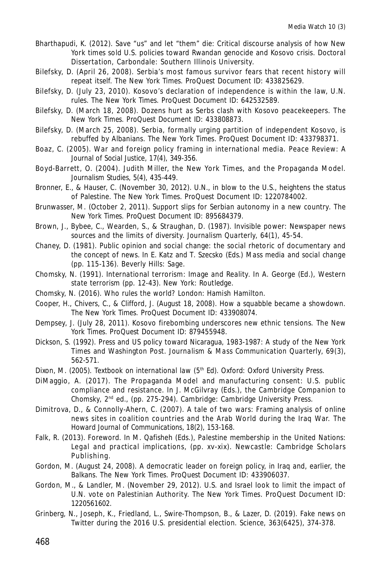Bharthapudi, K. (2012). Save "us" and let "them" die: Critical discourse analysis of how New York times sold U.S. policies toward Rwandan genocide and Kosovo crisis. *Doctoral Dissertation,* Carbondale: Southern Illinois University.

- Bilefsky, D. (April 26, 2008). Serbia's most famous survivor fears that recent history will repeat itself. *The New York Times.* ProQuest Document ID: 433825629.
- Bilefsky, D. (July 23, 2010). Kosovo's declaration of independence is within the law, U.N. rules. *The New York Times.* ProQuest Document ID: 642532589.

Bilefsky, D. (March 18, 2008). Dozens hurt as Serbs clash with Kosovo peacekeepers. *The New York Times.* ProQuest Document ID: 433808873.

Bilefsky, D. (March 25, 2008). Serbia, formally urging partition of independent Kosovo, is rebuffed by Albanians. *The New York Times.* ProQuest Document ID: 433798371.

Boaz, C. (2005). War and foreign policy framing in international media. *Peace Review: A Journal of Social Justice, 17*(4), 349-356.

- Boyd-Barrett, O. (2004). Judith Miller, the New York Times, and the Propaganda Model. *Journalism Studies, 5*(4), 435-449.
- Bronner, E., & Hauser, C. (November 30, 2012). U.N., in blow to the U.S., heightens the status of Palestine. *The New York Times.* ProQuest Document ID: 1220784002.

Brunwasser, M. (October 2, 2011). Support slips for Serbian autonomy in a new country. *The New York Times.* ProQuest Document ID: 895684379.

Brown, J., Bybee, C., Wearden, S., & Straughan, D. (1987). Invisible power: Newspaper news sources and the limits of diversity. *Journalism Quarterly, 64*(1), 45-54.

Chaney, D. (1981). Public opinion and social change: the social rhetoric of documentary and the concept of news. In E. Katz and T. Szecsko (Eds.) *Mass media and social change* (pp. 115-136). Beverly Hills: Sage.

Chomsky, N. (1991). International terrorism: Image and Reality. In A. George (Ed.), *Western state terrorism* (pp. 12-43). New York: Routledge.

Chomsky, N. (2016). *Who rules the world?* London: Hamish Hamilton.

Cooper, H., Chivers, C., & Clifford, J. (August 18, 2008). How a squabble became a showdown. *The New York Times.* ProQuest Document ID: 433908074.

Dempsey, J. (July 28, 2011). Kosovo firebombing underscores new ethnic tensions. *The New York Times.* ProQuest Document ID: 879455948.

Dickson, S. (1992). Press and US policy toward Nicaragua, 1983-1987: A study of the New York Times and Washington Post. *Journalism & Mass Communication Quarterly, 69*(3), 562-571.

Dixon, M. (2005). *Textbook on international law* (5<sup>th</sup> Ed). Oxford: Oxford University Press.

DiMaggio, A. (2017). The Propaganda Model and manufacturing consent: U.S. public compliance and resistance. In J. McGilvray (Eds.), *the Cambridge Companion to* Chomsky, 2<sup>nd</sup> ed., (pp. 275-294). Cambridge: Cambridge University Press.

Dimitrova, D., & Connolly-Ahern, C. (2007). A tale of two wars: Framing analysis of online news sites in coalition countries and the Arab World during the Iraq War. *The Howard Journal of Communications, 18*(2), 153-168.

Falk, R. (2013). Foreword. In M. Qafisheh (Eds.), *Palestine membership in the United Nations: Legal and practical implications*, (pp. xv-xix). Newcastle: Cambridge Scholars Publishing.

Gordon, M. (August 24, 2008). A democratic leader on foreign policy, in Iraq and, earlier, the Balkans. *The New York Times.* ProQuest Document ID: 433906037.

Gordon, M., & Landler, M. (November 29, 2012). U.S. and Israel look to limit the impact of U.N. vote on Palestinian Authority. *The New York Times.* ProQuest Document ID: 1220561602.

Grinberg, N., Joseph, K., Friedland, L., Swire-Thompson, B., & Lazer, D. (2019). Fake news on Twitter during the 2016 U.S. presidential election. *Science, 363*(6425), 374-378.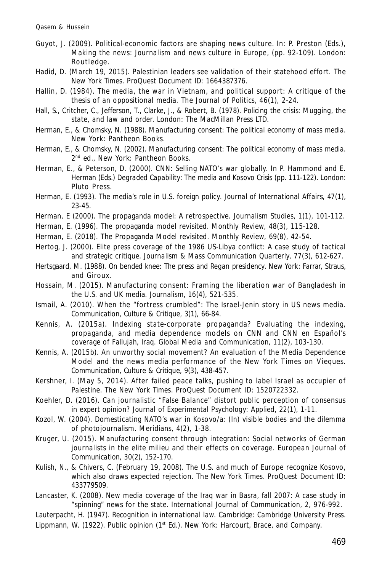- Guyot, J. (2009). Political-economic factors are shaping news culture. In: P. Preston (Eds.), *Making the news: Journalism and news culture in Europe*, (pp. 92-109). London: Routledge.
- Hadid, D. (March 19, 2015). Palestinian leaders see validation of their statehood effort. *The New York Times*. ProQuest Document ID: 1664387376.
- Hallin, D. (1984). The media, the war in Vietnam, and political support: A critique of the thesis of an oppositional media. *The Journal of Politics, 46*(1), 2-24.
- Hall, S., Critcher, C., Jefferson, T., Clarke, J., & Robert, B. (1978). *Policing the crisis: Mugging, the state, and law and order.* London: The MacMillan Press LTD.
- Herman, E., & Chomsky, N. (1988). *Manufacturing consent: The political economy of mass media.* New York: Pantheon Books.
- Herman, E., & Chomsky, N. (2002). *Manufacturing consent: The political economy of mass media.* 2 nd ed., New York: Pantheon Books.
- Herman, E., & Peterson, D. (2000). CNN: Selling NATO's war globally. In P. Hammond and E. Herman (Eds.) *Degraded Capability: The media and Kosovo Crisis* (pp. 111-122). London: Pluto Press.
- Herman, E. (1993). The media's role in U.S. foreign policy. *Journal of International Affairs, 47*(1), 23-45.
- Herman, E (2000). The propaganda model: A retrospective. *Journalism Studies, 1*(1), 101-112.
- Herman, E. (1996). The propaganda model revisited. *Monthly Review, 48*(3), 115-128.
- Herman, E. (2018). The Propaganda Model revisited. *Monthly Review, 69*(8), 42-54.
- Hertog, J. (2000). Elite press coverage of the 1986 US-Libya conflict: A case study of tactical and strategic critique. *Journalism & Mass Communication Quarterly, 77*(3), 612-627.
- Hertsgaard, M. (1988). *On bended knee: The press and Regan presidency.* New York: Farrar, Straus, and Giroux.
- Hossain, M. (2015). Manufacturing consent: Framing the liberation war of Bangladesh in the U.S. and UK media. *Journalism, 16*(4), 521-535.
- Ismail, A. (2010). When the "fortress crumbled": The Israel-Jenin story in US news media. *Communication, Culture & Critique,* 3(1), 66-84.
- Kennis, A. (2015a). Indexing state-corporate propaganda? Evaluating the indexing, propaganda, and media dependence models on CNN and CNN en Español's coverage of Fallujah, Iraq. *Global Media and Communication, 11*(2), 103-130.
- Kennis, A. (2015b). An unworthy social movement? An evaluation of the Media Dependence Model and the news media performance of the New York Times on Vieques. *Communication, Culture & Critique, 9*(3), 438-457.
- Kershner, I. (May 5, 2014). After failed peace talks, pushing to label Israel as occupier of Palestine. *The New York Times.* ProQuest Document ID: 1520722332.
- Koehler, D. (2016). Can journalistic "False Balance" distort public perception of consensus in expert opinion? *Journal of Experimental Psychology: Applied, 22*(1), 1-11.
- Kozol, W. (2004). Domesticating NATO's war in Kosovo/a: (In) visible bodies and the dilemma of photojournalism. *Meridians, 4*(2), 1-38.
- Kruger, U. (2015). Manufacturing consent through integration: Social networks of German journalists in the elite milieu and their effects on coverage. *European Journal of Communication, 30*(2), 152-170.
- Kulish, N., & Chivers, C. (February 19, 2008). The U.S. and much of Europe recognize Kosovo, which also draws expected rejection. *The New York Times.* ProQuest Document ID: 433779509.
- Lancaster, K. (2008). New media coverage of the Iraq war in Basra, fall 2007: A case study in "spinning" news for the state. *International Journal of Communication, 2,* 976-992.
- Lauterpacht, H. (1947). *Recognition in international law.* Cambridge: Cambridge University Press. Lippmann, W. (1922). *Public opinion* (1<sup>st</sup> Ed.). New York: Harcourt, Brace, and Company.